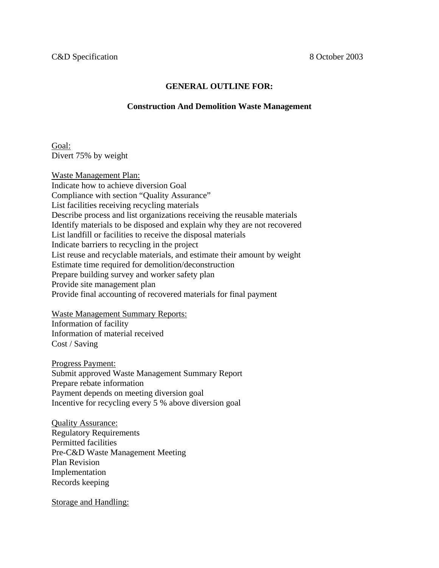## **GENERAL OUTLINE FOR:**

## **Construction And Demolition Waste Management**

Goal: Divert 75% by weight

Waste Management Plan: Indicate how to achieve diversion Goal Compliance with section "Quality Assurance" List facilities receiving recycling materials Describe process and list organizations receiving the reusable materials Identify materials to be disposed and explain why they are not recovered List landfill or facilities to receive the disposal materials Indicate barriers to recycling in the project List reuse and recyclable materials, and estimate their amount by weight Estimate time required for demolition/deconstruction Prepare building survey and worker safety plan Provide site management plan Provide final accounting of recovered materials for final payment

Waste Management Summary Reports: Information of facility Information of material received Cost / Saving

Progress Payment: Submit approved Waste Management Summary Report Prepare rebate information Payment depends on meeting diversion goal Incentive for recycling every 5 % above diversion goal

Quality Assurance: Regulatory Requirements Permitted facilities Pre-C&D Waste Management Meeting Plan Revision Implementation Records keeping

Storage and Handling: